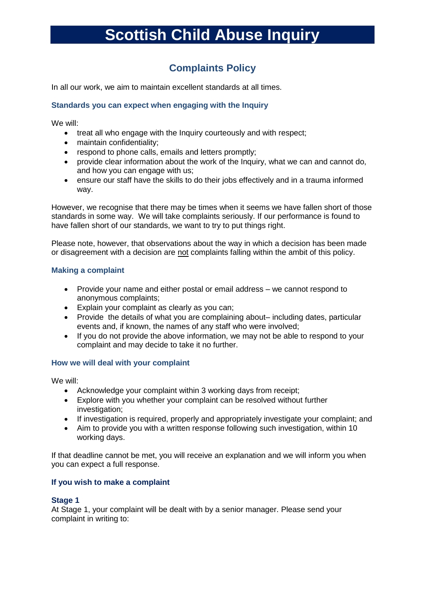# **Scottish Child Abuse Inquiry**

# **Complaints Policy**

In all our work, we aim to maintain excellent standards at all times.

### **Standards you can expect when engaging with the Inquiry**

We will:

- treat all who engage with the Inquiry courteously and with respect;
- maintain confidentiality:
- respond to phone calls, emails and letters promptly;
- provide clear information about the work of the Inquiry, what we can and cannot do, and how you can engage with us;
- ensure our staff have the skills to do their jobs effectively and in a trauma informed way.

However, we recognise that there may be times when it seems we have fallen short of those standards in some way. We will take complaints seriously. If our performance is found to have fallen short of our standards, we want to try to put things right.

Please note, however, that observations about the way in which a decision has been made or disagreement with a decision are not complaints falling within the ambit of this policy.

### **Making a complaint**

- Provide your name and either postal or email address we cannot respond to anonymous complaints;
- Explain your complaint as clearly as you can;
- Provide the details of what you are complaining about– including dates, particular events and, if known, the names of any staff who were involved;
- If you do not provide the above information, we may not be able to respond to your complaint and may decide to take it no further.

#### **How we will deal with your complaint**

We will:

- Acknowledge your complaint within 3 working days from receipt;
- Explore with you whether your complaint can be resolved without further investigation;
- If investigation is required, properly and appropriately investigate your complaint; and
- Aim to provide you with a written response following such investigation, within 10 working days.

If that deadline cannot be met, you will receive an explanation and we will inform you when you can expect a full response.

## **If you wish to make a complaint**

## **Stage 1**

At Stage 1, your complaint will be dealt with by a senior manager. Please send your complaint in writing to: